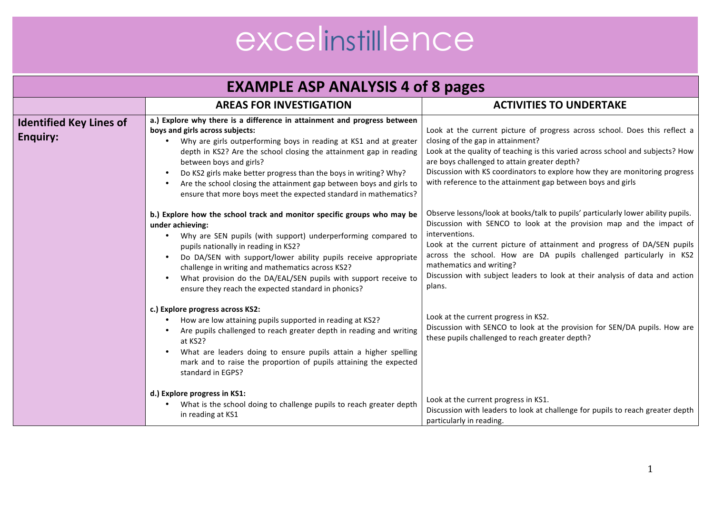| <b>EXAMPLE ASP ANALYSIS 4 of 8 pages</b>          |                                                                                                                                                                                                                                                                                                                                                                                                                                                                                                               |                                                                                                                                                                                                                                                                                                                                                                                                                                                    |
|---------------------------------------------------|---------------------------------------------------------------------------------------------------------------------------------------------------------------------------------------------------------------------------------------------------------------------------------------------------------------------------------------------------------------------------------------------------------------------------------------------------------------------------------------------------------------|----------------------------------------------------------------------------------------------------------------------------------------------------------------------------------------------------------------------------------------------------------------------------------------------------------------------------------------------------------------------------------------------------------------------------------------------------|
|                                                   | <b>AREAS FOR INVESTIGATION</b>                                                                                                                                                                                                                                                                                                                                                                                                                                                                                | <b>ACTIVITIES TO UNDERTAKE</b>                                                                                                                                                                                                                                                                                                                                                                                                                     |
| <b>Identified Key Lines of</b><br><b>Enquiry:</b> | a.) Explore why there is a difference in attainment and progress between<br>boys and girls across subjects:<br>Why are girls outperforming boys in reading at KS1 and at greater<br>depth in KS2? Are the school closing the attainment gap in reading<br>between boys and girls?<br>Do KS2 girls make better progress than the boys in writing? Why?<br>$\bullet$<br>Are the school closing the attainment gap between boys and girls to<br>ensure that more boys meet the expected standard in mathematics? | Look at the current picture of progress across school. Does this reflect a<br>closing of the gap in attainment?<br>Look at the quality of teaching is this varied across school and subjects? How<br>are boys challenged to attain greater depth?<br>Discussion with KS coordinators to explore how they are monitoring progress<br>with reference to the attainment gap between boys and girls                                                    |
|                                                   | b.) Explore how the school track and monitor specific groups who may be<br>under achieving:<br>Why are SEN pupils (with support) underperforming compared to<br>pupils nationally in reading in KS2?<br>Do DA/SEN with support/lower ability pupils receive appropriate<br>$\bullet$<br>challenge in writing and mathematics across KS2?<br>What provision do the DA/EAL/SEN pupils with support receive to<br>$\bullet$<br>ensure they reach the expected standard in phonics?                               | Observe lessons/look at books/talk to pupils' particularly lower ability pupils.<br>Discussion with SENCO to look at the provision map and the impact of<br>interventions.<br>Look at the current picture of attainment and progress of DA/SEN pupils<br>across the school. How are DA pupils challenged particularly in KS2<br>mathematics and writing?<br>Discussion with subject leaders to look at their analysis of data and action<br>plans. |
|                                                   | c.) Explore progress across KS2:<br>How are low attaining pupils supported in reading at KS2?<br>Are pupils challenged to reach greater depth in reading and writing<br>at KS2?<br>What are leaders doing to ensure pupils attain a higher spelling<br>$\bullet$<br>mark and to raise the proportion of pupils attaining the expected<br>standard in EGPS?                                                                                                                                                    | Look at the current progress in KS2.<br>Discussion with SENCO to look at the provision for SEN/DA pupils. How are<br>these pupils challenged to reach greater depth?                                                                                                                                                                                                                                                                               |
|                                                   | d.) Explore progress in KS1:<br>What is the school doing to challenge pupils to reach greater depth<br>$\bullet$<br>in reading at KS1                                                                                                                                                                                                                                                                                                                                                                         | Look at the current progress in KS1.<br>Discussion with leaders to look at challenge for pupils to reach greater depth<br>particularly in reading.                                                                                                                                                                                                                                                                                                 |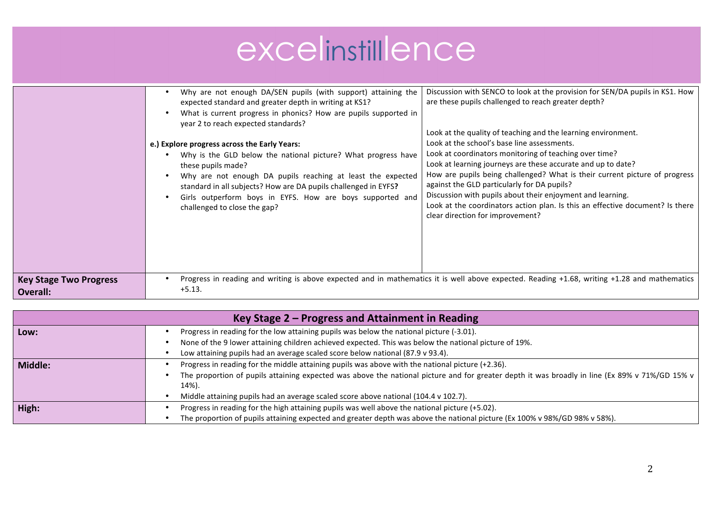|                                           | Why are not enough DA/SEN pupils (with support) attaining the<br>expected standard and greater depth in writing at KS1?<br>What is current progress in phonics? How are pupils supported in<br>year 2 to reach expected standards?<br>e.) Explore progress across the Early Years:<br>Why is the GLD below the national picture? What progress have<br>these pupils made?<br>Why are not enough DA pupils reaching at least the expected<br>standard in all subjects? How are DA pupils challenged in EYFS?<br>Girls outperform boys in EYFS. How are boys supported and<br>challenged to close the gap? | Discussion with SENCO to look at the provision for SEN/DA pupils in KS1. How<br>are these pupils challenged to reach greater depth?<br>Look at the quality of teaching and the learning environment.<br>Look at the school's base line assessments.<br>Look at coordinators monitoring of teaching over time?<br>Look at learning journeys are these accurate and up to date?<br>How are pupils being challenged? What is their current picture of progress<br>against the GLD particularly for DA pupils?<br>Discussion with pupils about their enjoyment and learning.<br>Look at the coordinators action plan. Is this an effective document? Is there<br>clear direction for improvement? |
|-------------------------------------------|----------------------------------------------------------------------------------------------------------------------------------------------------------------------------------------------------------------------------------------------------------------------------------------------------------------------------------------------------------------------------------------------------------------------------------------------------------------------------------------------------------------------------------------------------------------------------------------------------------|-----------------------------------------------------------------------------------------------------------------------------------------------------------------------------------------------------------------------------------------------------------------------------------------------------------------------------------------------------------------------------------------------------------------------------------------------------------------------------------------------------------------------------------------------------------------------------------------------------------------------------------------------------------------------------------------------|
| <b>Key Stage Two Progress</b><br>Overall: | Progress in reading and writing is above expected and in mathematics it is well above expected. Reading +1.68, writing +1.28 and mathematics<br>$+5.13.$                                                                                                                                                                                                                                                                                                                                                                                                                                                 |                                                                                                                                                                                                                                                                                                                                                                                                                                                                                                                                                                                                                                                                                               |

| Key Stage $2$ – Progress and Attainment in Reading |                                                                                                                                                         |  |
|----------------------------------------------------|---------------------------------------------------------------------------------------------------------------------------------------------------------|--|
| Low:                                               | Progress in reading for the low attaining pupils was below the national picture (-3.01).                                                                |  |
|                                                    | None of the 9 lower attaining children achieved expected. This was below the national picture of 19%.                                                   |  |
|                                                    | Low attaining pupils had an average scaled score below national (87.9 v 93.4).                                                                          |  |
| Middle:                                            | Progress in reading for the middle attaining pupils was above with the national picture (+2.36).                                                        |  |
|                                                    | The proportion of pupils attaining expected was above the national picture and for greater depth it was broadly in line (Ex 89% v 71%/GD 15% v<br>14%). |  |
|                                                    | Middle attaining pupils had an average scaled score above national (104.4 v 102.7).                                                                     |  |
| High:                                              | Progress in reading for the high attaining pupils was well above the national picture (+5.02).                                                          |  |
|                                                    | The proportion of pupils attaining expected and greater depth was above the national picture (Ex 100% v 98%/GD 98% v 58%).                              |  |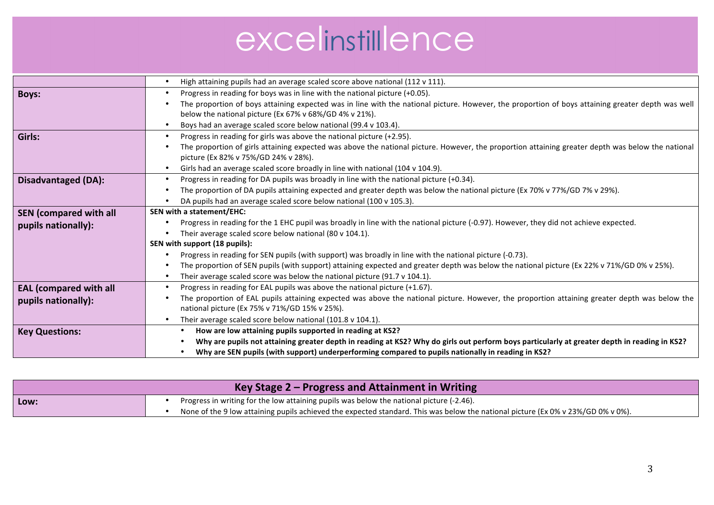|                               | High attaining pupils had an average scaled score above national (112 v 111).                                                                     |  |
|-------------------------------|---------------------------------------------------------------------------------------------------------------------------------------------------|--|
| <b>Boys:</b>                  | Progress in reading for boys was in line with the national picture (+0.05).<br>$\bullet$                                                          |  |
|                               | The proportion of boys attaining expected was in line with the national picture. However, the proportion of boys attaining greater depth was well |  |
|                               | below the national picture (Ex 67% v 68%/GD 4% v 21%).                                                                                            |  |
|                               | Boys had an average scaled score below national (99.4 v 103.4).                                                                                   |  |
| Girls:                        | Progress in reading for girls was above the national picture (+2.95).                                                                             |  |
|                               | The proportion of girls attaining expected was above the national picture. However, the proportion attaining greater depth was below the national |  |
|                               | picture (Ex 82% v 75%/GD 24% v 28%).                                                                                                              |  |
|                               | Girls had an average scaled score broadly in line with national (104 v 104.9).<br>$\bullet$                                                       |  |
| <b>Disadvantaged (DA):</b>    | Progress in reading for DA pupils was broadly in line with the national picture (+0.34).                                                          |  |
|                               | The proportion of DA pupils attaining expected and greater depth was below the national picture (Ex 70% v 77%/GD 7% v 29%).                       |  |
|                               | DA pupils had an average scaled score below national (100 v 105.3).                                                                               |  |
| <b>SEN</b> (compared with all | SEN with a statement/EHC:                                                                                                                         |  |
| pupils nationally):           | Progress in reading for the 1 EHC pupil was broadly in line with the national picture (-0.97). However, they did not achieve expected.            |  |
|                               | Their average scaled score below national (80 v 104.1).                                                                                           |  |
|                               | SEN with support (18 pupils):                                                                                                                     |  |
|                               | Progress in reading for SEN pupils (with support) was broadly in line with the national picture (-0.73).                                          |  |
|                               | The proportion of SEN pupils (with support) attaining expected and greater depth was below the national picture (Ex 22% v 71%/GD 0% v 25%).       |  |
|                               | Their average scaled score was below the national picture (91.7 $v$ 104.1).                                                                       |  |
| <b>EAL (compared with all</b> | Progress in reading for EAL pupils was above the national picture (+1.67).<br>$\bullet$                                                           |  |
| pupils nationally):           | The proportion of EAL pupils attaining expected was above the national picture. However, the proportion attaining greater depth was below the     |  |
|                               | national picture (Ex 75% v 71%/GD 15% v 25%).                                                                                                     |  |
|                               | Their average scaled score below national (101.8 v 104.1).                                                                                        |  |
| <b>Key Questions:</b>         | How are low attaining pupils supported in reading at KS2?<br>$\bullet$                                                                            |  |
|                               | Why are pupils not attaining greater depth in reading at KS2? Why do girls out perform boys particularly at greater depth in reading in KS2?      |  |
|                               | Why are SEN pupils (with support) underperforming compared to pupils nationally in reading in KS2?                                                |  |

| Key Stage $2$ – Progress and Attainment in Writing |                                                                                                                                  |
|----------------------------------------------------|----------------------------------------------------------------------------------------------------------------------------------|
| Low:                                               | Progress in writing for the low attaining pupils was below the national picture (-2.46).                                         |
|                                                    | None of the 9 low attaining pupils achieved the expected standard. This was below the national picture (Ex 0% v 23%/GD 0% v 0%). |